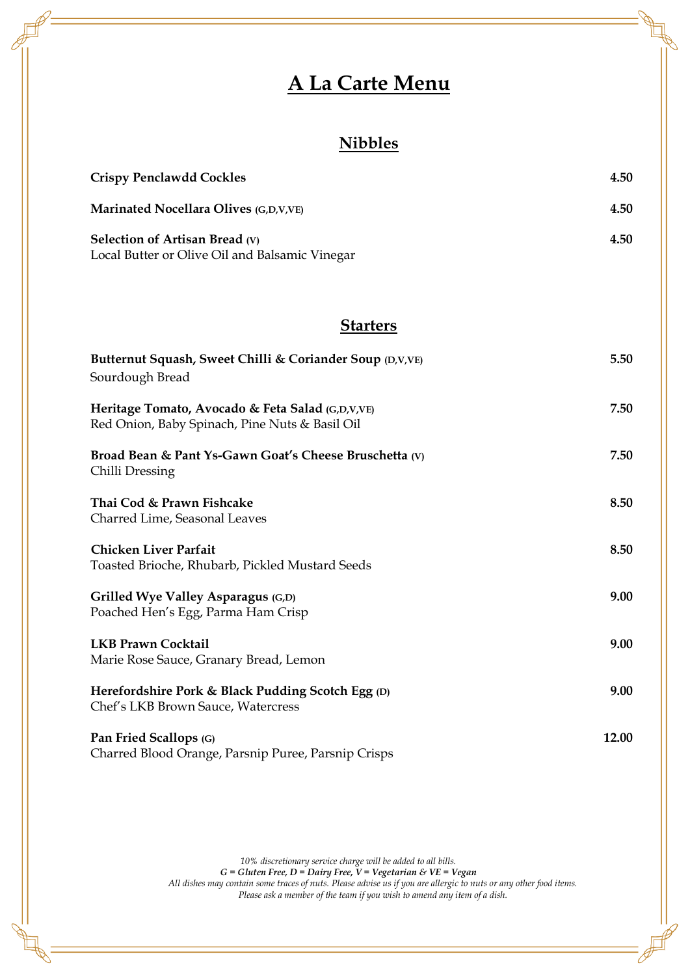# **A La Carte Menu**

### **Nibbles**

| <b>Crispy Penclawdd Cockles</b>                | 4.50 |
|------------------------------------------------|------|
| <b>Marinated Nocellara Olives (G,D,V,VE)</b>   | 4.50 |
| Selection of Artisan Bread $(V)$               | 4.50 |
| Local Butter or Olive Oil and Balsamic Vinegar |      |

#### **Starters**

| Butternut Squash, Sweet Chilli & Coriander Soup (D,V,VE)<br>Sourdough Bread                        | 5.50  |
|----------------------------------------------------------------------------------------------------|-------|
| Heritage Tomato, Avocado & Feta Salad (G,D,V,VE)<br>Red Onion, Baby Spinach, Pine Nuts & Basil Oil | 7.50  |
| Broad Bean & Pant Ys-Gawn Goat's Cheese Bruschetta (V)<br>Chilli Dressing                          | 7.50  |
| Thai Cod & Prawn Fishcake                                                                          | 8.50  |
| Charred Lime, Seasonal Leaves                                                                      |       |
| <b>Chicken Liver Parfait</b>                                                                       | 8.50  |
| Toasted Brioche, Rhubarb, Pickled Mustard Seeds                                                    |       |
| Grilled Wye Valley Asparagus (G,D)                                                                 | 9.00  |
| Poached Hen's Egg, Parma Ham Crisp                                                                 |       |
| <b>LKB Prawn Cocktail</b>                                                                          | 9.00  |
| Marie Rose Sauce, Granary Bread, Lemon                                                             |       |
| Herefordshire Pork & Black Pudding Scotch Egg (D)                                                  | 9.00  |
| Chef's LKB Brown Sauce, Watercress                                                                 |       |
| Pan Fried Scallops (G)                                                                             | 12.00 |
| Charred Blood Orange, Parsnip Puree, Parsnip Crisps                                                |       |

*10% discretionary service charge will be added to all bills.*

*G = Gluten Free, D = Dairy Free, V = Vegetarian & VE = Vegan All dishes may contain some traces of nuts. Please advise us if you are allergic to nuts or any other food items. Please ask a member of the team if you wish to amend any item of a dish.*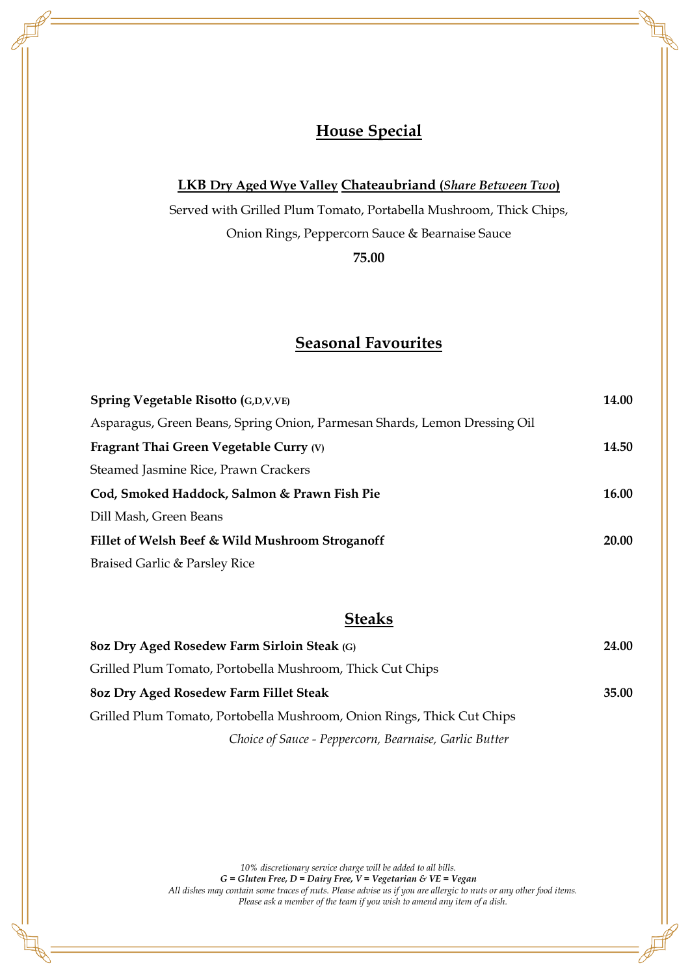### **House Special**

#### **LKB Dry Aged Wye Valley Chateaubriand (***Share Between Two***)**

Served with Grilled Plum Tomato, Portabella Mushroom, Thick Chips, Onion Rings, Peppercorn Sauce & Bearnaise Sauce

**75.00**

### **Seasonal Favourites**

| Spring Vegetable Risotto (G,D,V,VE)                                       | 14.00        |
|---------------------------------------------------------------------------|--------------|
| Asparagus, Green Beans, Spring Onion, Parmesan Shards, Lemon Dressing Oil |              |
| Fragrant Thai Green Vegetable Curry (V)                                   | 14.50        |
| Steamed Jasmine Rice, Prawn Crackers                                      |              |
| Cod, Smoked Haddock, Salmon & Prawn Fish Pie                              | <b>16.00</b> |
| Dill Mash, Green Beans                                                    |              |
| Fillet of Welsh Beef & Wild Mushroom Stroganoff                           | <b>20.00</b> |
| Braised Garlic & Parsley Rice                                             |              |

#### **Steaks**

| 80z Dry Aged Rosedew Farm Sirloin Steak (G)                            |       |
|------------------------------------------------------------------------|-------|
| Grilled Plum Tomato, Portobella Mushroom, Thick Cut Chips              |       |
| 80z Dry Aged Rosedew Farm Fillet Steak                                 | 35.00 |
| Grilled Plum Tomato, Portobella Mushroom, Onion Rings, Thick Cut Chips |       |
| Choice of Sauce - Peppercorn, Bearnaise, Garlic Butter                 |       |

*10% discretionary service charge will be added to all bills.*

*G = Gluten Free, D = Dairy Free, V = Vegetarian & VE = Vegan* 

*All dishes may contain some traces of nuts. Please advise us if you are allergic to nuts or any other food items. Please ask a member of the team if you wish to amend any item of a dish.*